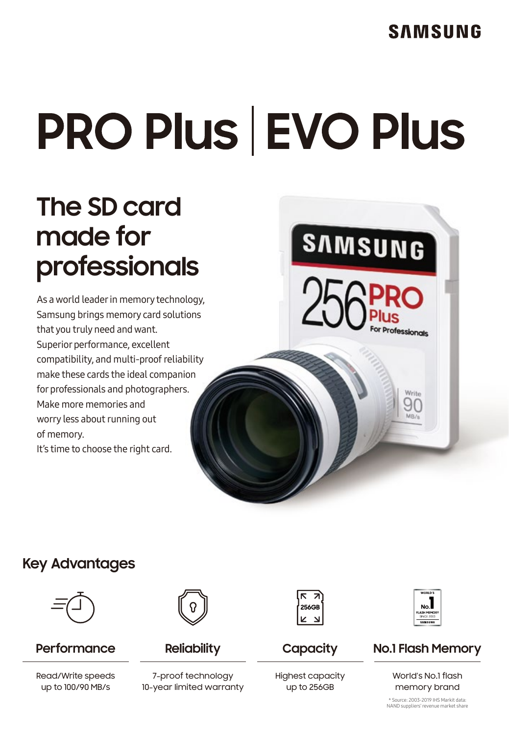# **PRO Plus EVO Plus**

## **The SD card made for professionals**

As aworld leader in memory technology, Samsung brings memory card solutions that you truly need and want. Superior performance, excellent compatibility, and multi-proofreliability make these cards the ideal companion for professionals and photographers. Make more memories and worry less about running out of memory. It's time to choose the right card.



#### **Key Advantages**



#### **Performance**

Read/Write speeds up to 100/90 MB/s



**Reliability**

7-proof technology 10-year limited warranty



**Capacity**

Highest capacity up to 256GB



#### **No.1 Flash Memory**

World's No.1 flash memory brand

\* Source: 2003-2019 IHS Markit data: NAND suppliers'revenue market share